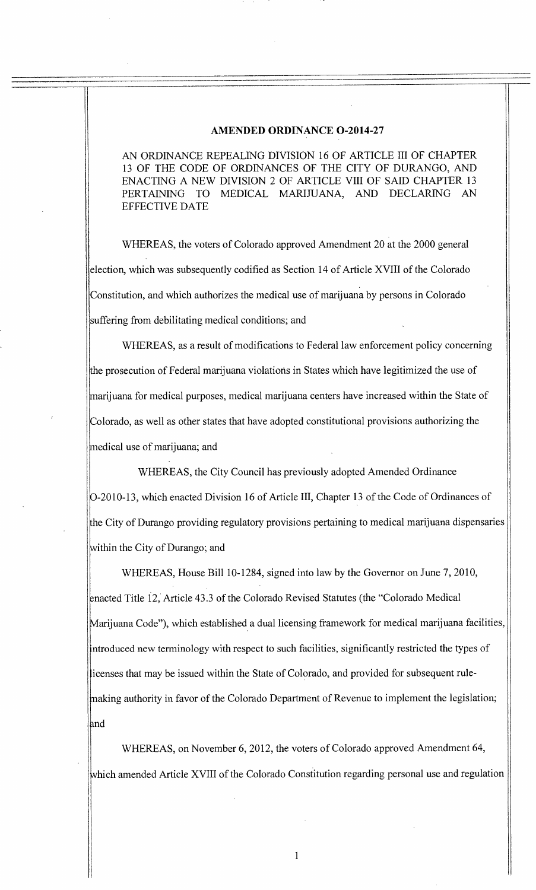#### **AMENDED ORDINANCE 0-2014-27**

AN ORDINANCE REPEALING DIVISION 16 OF ARTICLE III OF CHAPTER 13 OF THE CODE OF ORDINANCES OF THE CITY OF DURANGO, AND ENACTING A NEW DIVISION 2 OF ARTICLE VIII OF SAID CHAPTER 13 PERTAINING TO MEDICAL MARIJUANA, AND DECLARING AN EFFECTIVE DATE

WHEREAS, the voters of Colorado approved Amendment 20 at the 2000 general election, which was subsequently codified as Section 14 of Article XVIII of the Colorado Constitution, and which authorizes the medical use of marijuana by persons in Colorado suffering from debilitating medical conditions; and

WHEREAS, as a result of modifications to Federal law enforcement policy concerning the prosecution of Federal marijuana violations in States which have legitimized the use of marijuana for medical purposes, medical marijuana centers have increased within the State of Colorado, as well as other states that have adopted constitutional provisions authorizing the medical use of marijuana; and

WHEREAS, the City Council has previously adopted Amended Ordinance -2010-13, which enacted Division 16 of Article III, Chapter 13 of the Code of Ordinances of he City of Durango providing regulatory provisions pertaining to medical marijuana dispensaries within the City of Durango; and

WHEREAS, House Bill 10-1284, signed into law by the Governor on June 7, 2010, nacted Title 12, Article 43.3 of the Colorado Revised Statutes (the "Colorado Medical Marijuana Code"), which established a dual licensing framework for medical marijuana facilities, ntroduced new terminology with respect to such facilities, significantly restricted the types of icenses that may be issued within the State of Colorado, and provided for subsequent ruleinaking authority in favor of the Colorado Department of Revenue to implement the legislation; and

WHEREAS, on November 6, 2012, the voters of Colorado approved Amendment 64, hich amended Article XVIII of the Colorado Constitution regarding personal use and regulation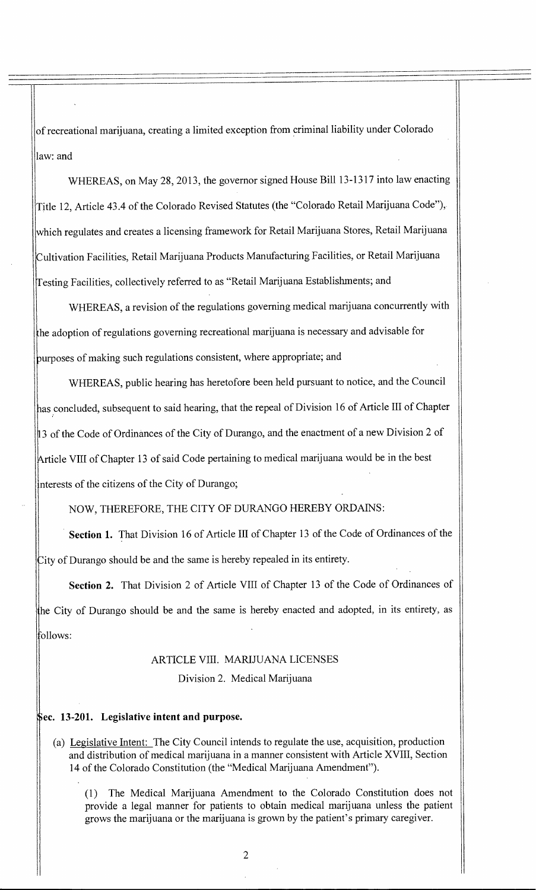of recreational marijuana, creating a limited exception from criminal liability under Colorado law: and

WHEREAS, on May 28, 2013, the governor signed House Bill 13-1317 into law enacting Title 12, Article 43.4 of the Colorado Revised Statutes (the "Colorado Retail Marijuana Code"), which regulates and creates a licensing framework for Retail Marijuana Stores, Retail Marijuana Cultivation Facilities, Retail Marijuana Products Manufacturing Facilities, or Retail Marijuana Testing Facilities, collectively referred to as "Retail Marijuana Establishments; and

WHEREAS, a revision of the regulations governing medical marijuana concurrently with he adoption of regulations governing recreational marijuana is necessary and advisable for •urposes of making such regulations consistent, where appropriate; and

WHEREAS, public hearing has heretofore been held pursuant to notice, and the Council as concluded, subsequent to said hearing, that the repeal of Division 16 of Article **III** of Chapter 3 of the Code of Ordinances of the City of Durango, and the enactment of a new Division 2 of Article VIII of Chapter 13 of said Code pertaining to medical marijuana would be in the best nterests of the citizens of the City of Durango;

NOW, THEREFORE, THE CITY OF DURANGO HEREBY ORDAINS:

**Section 1.** That Division 16 of Article III of Chapter 13 of the Code of Ordinances of the City of Durango should be and the same is hereby repealed in its entirety.

**Section 2.** That Division 2 of Article VIII of Chapter 13 of the Code of Ordinances of he City of Durango should be and the same is hereby enacted and adopted, in its entirety, as ollows:

# ARTICLE VIII. MARIJUANA LICENSES

Division 2. Medical Marijuana

## **ec. 13-201. Legislative intent and purpose.**

(a) Legislative Intent: The City Council intends to regulate the use, acquisition, production and distribution of medical marijuana in a manner consistent with Article XVIII, Section 14 of the Colorado Constitution (the "Medical Marijuana Amendment").

(1) The Medical Marijuana Amendment to the Colorado Constitution does not provide a legal manner for patients to obtain medical marijuana unless the patient grows the marijuana or the marijuana is grown by the patient's primary caregiver.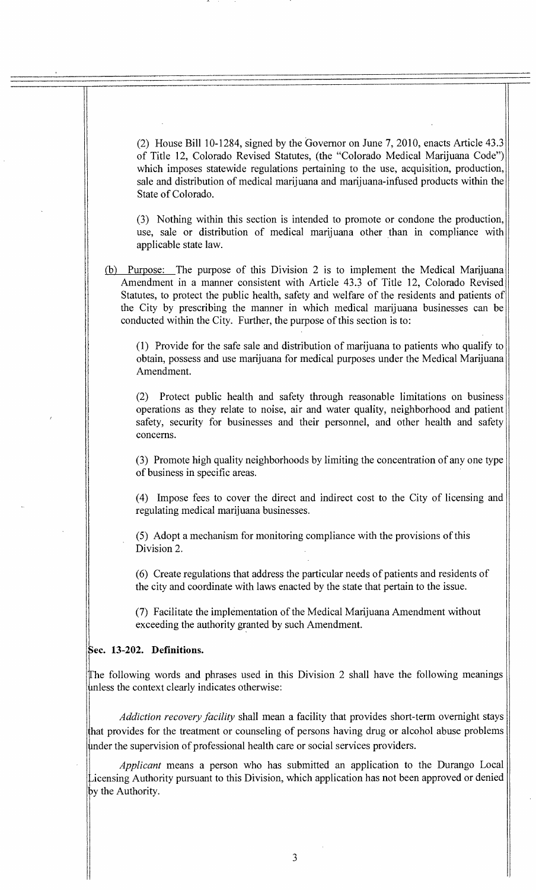(2) House Bill 10-1284, signed by the Governor on June 7, 2010, enacts Article 43.3 of Title 12, Colorado Revised Statutes, (the "Colorado Medical Marijuana Code") which imposes statewide regulations pertaining to the use, acquisition, production, sale and distribution of medical marijuana and marijuana-infused products within the State of Colorado.

(3) Nothing within this section is intended to promote or condone the production, use, sale or distribution of medical marijuana other than in compliance with applicable state law.

(b) Purpose: The purpose of this Division 2 is to implement the Medical Marijuana Amendment in a manner consistent with Article 43.3 of Title 12, Colorado Revised Statutes, to protect the public health, safety and welfare of the residents and patients of the City by prescribing the manner in which medical marijuana businesses can be conducted within the City. Further, the purpose of this section is to:

(1) Provide for the safe sale and distribution of marijuana to patients who qualify to obtain, possess and use marijuana for medical purposes under the Medical Marijuana Amendment.

(2) Protect public health and safety through reasonable limitations on business operations as they relate to noise, air and water quality, neighborhood and patient safety, security for businesses and their personnel, and other health and safety concerns.

(3) Promote high quality neighborhoods by limiting the concentration of any one type of business in specific areas.

(4) Impose fees to cover the direct and indirect cost to the City of licensing and regulating medical marijuana businesses.

(5) Adopt a mechanism for monitoring compliance with the provisions of this Division 2.

(6) Create regulations that address the particular needs of patients and residents of the city and coordinate with laws enacted by the state that pertain to the issue.

(7) Facilitate the implementation of the Medical Marijuana Amendment without exceeding the authority granted by such Amendment.

### **cc. 13-202. Definitions.**

The following words and phrases used in this Division 2 shall have the following meanings 4nless the context clearly indicates otherwise:

*Addiction recovery facility* shall mean a facility that provides short-term overnight stays that provides for the treatment or counseling of persons having drug or alcohol abuse problems under the supervision of professional health care or social services providers.

*Applicant* means a person who has submitted an application to the Durango Local —icensing Authority pursuant to this Division, which application has not been approved or denied by the Authority.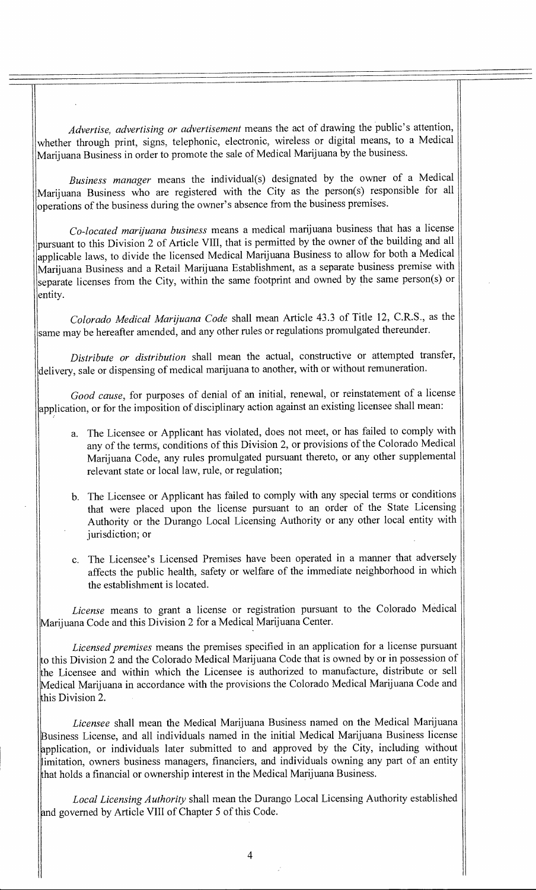*Advertise, advertising or advertisement* means the act of drawing the public's attention, whether through print, signs, telephonic, electronic, wireless or digital means, to a Medical Marijuana Business in order to promote the sale of Medical Marijuana by the business.

*Business manager* means the individual(s) designated by the owner of a Medical Marijuana Business who are registered with the City as the person(s) responsible for all operations of the business during the owner's absence from the business premises.

*Co-located marijuana business* means a medical marijuana business that has a license pursuant to this Division 2 of Article VIII, that is permitted by the owner of the building and all applicable laws, to divide the licensed Medical Marijuana Business to allow for both a Medical Marijuana Business and a Retail Marijuana Establishment, as a separate business premise with separate licenses from the City, within the same footprint and owned by the same person(s) or entity.

*Colorado Medical Marijuana Code* shall mean Article 43.3 of Title 12, C.R.S., as the same may be hereafter amended, and any other rules or regulations promulgated thereunder.

*Distribute or distribution* shall mean the actual, constructive or attempted transfer, delivery, sale or dispensing of medical marijuana to another, with or without remuneration.

*Good cause,* for purposes of denial of an initial, renewal, or reinstatement of a license application, or for the imposition of disciplinary action against an existing licensee shall mean:

- a. The Licensee or Applicant has violated, does not meet, or has failed to comply with any of the terms, conditions of this Division 2, or provisions of the Colorado Medical Marijuana Code, any rules promulgated pursuant thereto, or any other supplemental relevant state or local law, rule, or regulation;
- b. The Licensee or Applicant has failed to comply with any special terms or conditions that were placed upon the license pursuant to an order of the State Licensing Authority or the Durango Local Licensing Authority or any other local entity with jurisdiction; or
- c. The Licensee's Licensed Premises have been operated in a manner that adversely affects the public health, safety or welfare of the immediate neighborhood in which the establishment is located.

*License* means to grant a license or registration pursuant to the Colorado Medical Marijuana Code and this Division 2 for a Medical Marijuana Center.

*Licensed premises* means the premises specified in an application for a license pursuant o this Division 2 and the Colorado Medical Marijuana Code that is owned by or in possession of he Licensee and within which the Licensee is authorized to manufacture, distribute or sell Medical Marijuana in accordance with the provisions the Colorado Medical Marijuana Code and his Division 2.

*Licensee* shall mean the Medical Marijuana Business named on the Medical Marijuana Lusiness License, and all individuals named in the initial Medical Marijuana Business license application, or individuals later submitted to and approved by the City, including without imitation, owners business managers, financiers, and individuals owning any part of an entity hat holds a financial or ownership interest in the Medical Marijuana Business.

*Local Licensing Authority* shall mean the Durango Local Licensing Authority established nd governed by Article VIII of Chapter 5 of this Code.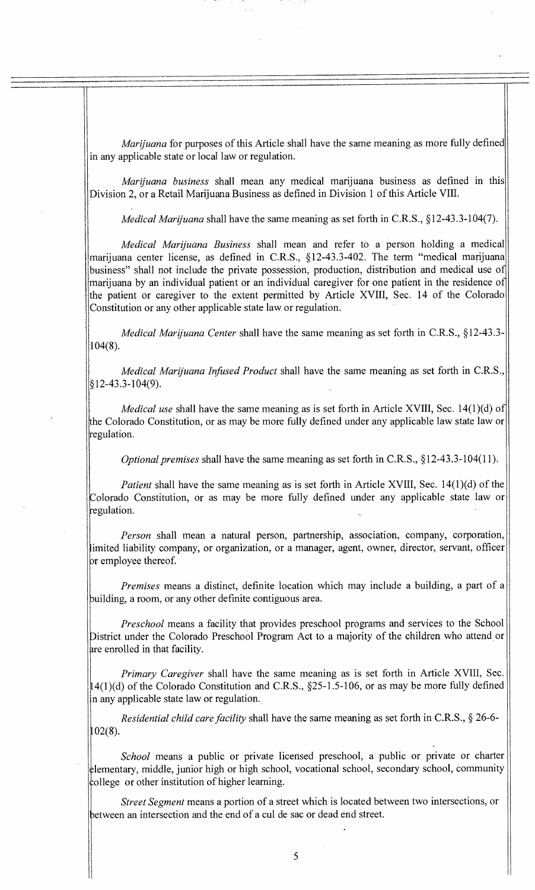*Marijuana* for purposes of this Article shall have the same meaning as more fully defined in any applicable state or local law or regulation.

*Marijuana business* shall mean any medical marijuana business as defined in this Division 2, or a Retail Marijuana Business as defined in Division 1 of this Article VIII.

*Medical Marijuana* shall have the same meaning as set forth in C.R.S., §12-43.3-104(7).

*Medical Marijuana Business* shall mean and refer to a person holding a medical marijuana center license, as defined in C.R.S., §12-43.3-402. The term "medical marijuana business" shall not include the private possession, production, distribution and medical use of marijuana by an individual patient or an individual caregiver for one patient in the residence of the patient or caregiver to the extent permitted by Article XVIII, Sec. 14 of the Colorado Constitution or any other applicable state law or regulation.

*Medical Marijuana Center* shall have the same meaning as set forth in C.R.S., §12-43.3-  $104(8)$ .

*Medical Marijuana Infused Product* shall have the same meaning as set forth in C.R.S., §12-43.3-104(9).

*Medical use shall have the same meaning as is set forth in Article XVIII, Sec.* 14(1)(d) of the Colorado Constitution, or as may be more fully defined under any applicable law state law or regulation.

*Optional premises* shall have the same meaning as set forth in C.R.S., §12-43.3-104(11).

*Patient* shall have the same meaning as is set forth in Article XVIII, Sec. 14(1)(d) of the Colorado Constitution, or as may be more fully defined under any applicable state law or regulation.

*Person* shall mean a natural person, partnership, association, company, corporation, limited liability company, or organization, or a manager, agent, owner, director, servant, officer or employee thereof.

*Premises* means a distinct, definite location which may include a building, a part of a building, a room, or any other definite contiguous area.

*Preschool* means a facility that provides preschool programs and services to the School District under the Colorado Preschool Program Act to a majority of the children who attend or are enrolled in that facility.

*Primary Caregiver* shall have the same meaning as is set forth in Article XVIII, Sec. 14(1)(d) of the Colorado Constitution and C.R.S., §25-1.5-106, or as may be more fully defined n any applicable state law or regulation.

*Residential child care facility* shall have the same meaning as set forth in C.R.S., § 26-6-  $102(8)$ .

*School* means a public or private licensed preschool, a public or private or charter lementary, middle, junior high or high school, vocational school, secondary school, community college or other institution of higher learning.

*Street Segment* means a portion of a street which is located between two intersections, or between an intersection and the end of a cul de sac or dead end street.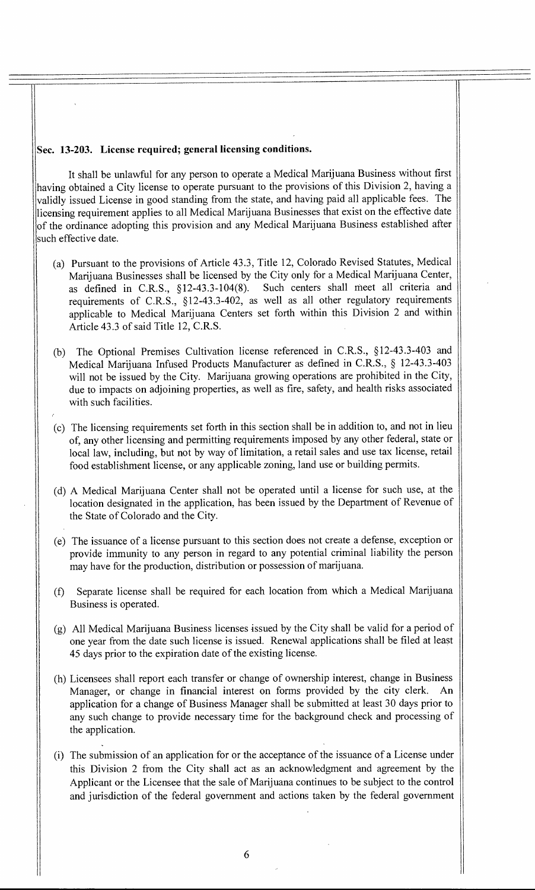#### **Sec. 13-203. License required; general licensing conditions.**

It shall be unlawful for any person to operate a Medical Marijuana Business without first having obtained a City license to operate pursuant to the provisions of this Division 2, having a validly issued License in good standing from the state, and having paid all applicable fees. The licensing requirement applies to all Medical Marijuana Businesses that exist on the effective date of the ordinance adopting this provision and any Medical Marijuana Business established after such effective date.

- (a) Pursuant to the provisions of Article 43.3, Title 12, Colorado Revised Statutes, Medical Marijuana Businesses shall be licensed by the City only for a Medical Marijuana Center, as defined in C.R.S., §12-43.3-104(8). Such centers shall meet all criteria and requirements of C.R.S., §12-43.3-402, as well as all other regulatory requirements applicable to Medical Marijuana Centers set forth within this Division 2 and within Article 43.3 of said Title 12, C.R.S.
- (b) The Optional Premises Cultivation license referenced in C.R.S., §12-43.3-403 and Medical Marijuana Infused Products Manufacturer as defined in C.R.S., § 12-43.3-403 will not be issued by the City. Marijuana growing operations are prohibited in the City, due to impacts on adjoining properties, as well as fire, safety, and health risks associated with such facilities.
- (c) The licensing requirements set forth in this section shall be in addition to, and not in lieu of, any other licensing and permitting requirements imposed by any other federal, state or local law, including, but not by way of limitation, a retail sales and use tax license, retail food establishment license, or any applicable zoning, land use or building permits.
- (d) A Medical Marijuana Center shall not be operated until a license for such use, at the location designated in the application, has been issued by the Department of Revenue of the State of Colorado and the City.
- (e) The issuance of a license pursuant to this section does not create a defense, exception or provide immunity to any person in regard to any potential criminal liability the person may have for the production, distribution or possession of marijuana.
- (f) Separate license shall be required for each location from which a Medical Marijuana Business is operated.
- (g) All Medical Marijuana Business licenses issued by the City shall be valid for a period of one year from the date such license is issued. Renewal applications shall be filed at least 45 days prior to the expiration date of the existing license.
- (h) Licensees shall report each transfer or change of ownership interest, change in Business Manager, or change in financial interest on forms provided by the city clerk. An application for a change of Business Manager shall be submitted at least 30 days prior to any such change to provide necessary time for the background check and processing of the application.
- (i) The submission of an application for or the acceptance of the issuance of a License under this Division 2 from the City shall act as an acknowledgment and agreement by the Applicant or the Licensee that the sale of Marijuana continues to be subject to the control and jurisdiction of the federal government and actions taken by the federal government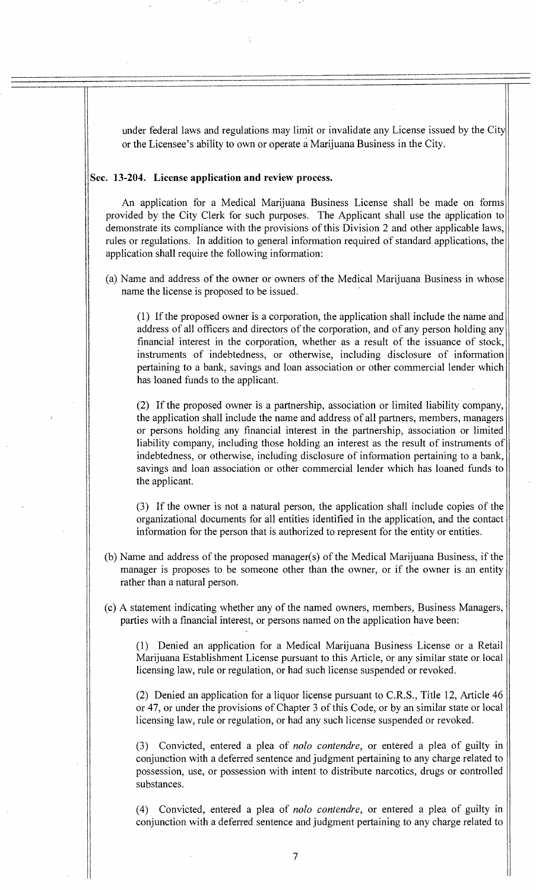under federal laws and regulations may limit or invalidate any License issued by the City or the Licensee's ability to own or operate a Marijuana Business in the City.

#### **Sec. 13-204. License application and review process.**

An application for a Medical Marijuana Business License shall be made on forms provided by the City Clerk for such purposes. The Applicant shall use the application to demonstrate its compliance with the provisions of this Division 2 and other applicable laws, rules or regulations. In addition to general information required of standard applications, the application shall require the following information:

(a) Name and address of the owner or owners of the Medical Marijuana Business in whose name the license is proposed to be issued.

(1) If the proposed owner is a corporation, the application shall include the name and address of all officers and directors of the corporation, and of any person holding any financial interest in the corporation, whether as a result of the issuance of stock, instruments of indebtedness, or otherwise, including disclosure of information pertaining to a bank, savings and loan association or other commercial lender which has loaned funds to the applicant.

(2) If the proposed owner is a partnership, association or limited liability company, the application shall include the name and address of all partners, members, managers or persons holding any financial interest in the partnership, association or limited liability company, including those holding an interest as the result of instruments of indebtedness, or otherwise, including disclosure of information pertaining to a bank, savings and loan association or other commercial lender which has loaned funds to the applicant.

(3) If the owner is not a natural person, the application shall include copies of the organizational documents for all entities identified in the application, and the contact information for the person that is authorized to represent for the entity or entities.

- (b) Name and address of the proposed manager(s) of the Medical Marijuana Business, if the manager is proposes to be someone other than the owner, or if the owner is an entity rather than a natural person.
- (c) A statement indicating whether any of the named owners, members, Business Managers, parties with a financial interest, or persons named on the application have been:

(1) Denied an application for a Medical Marijuana Business License or a Retail Marijuana Establishment License pursuant to this Article, or any similar state or local licensing law, rule or regulation, or had such license suspended or revoked.

(2) Denied an application for a liquor license pursuant to C.R.S., Title 12, Article 46 or 47, or under the provisions of Chapter 3 of this Code, or by an similar state or local licensing law, rule or regulation, or had any such license suspended or revoked.

(3) Convicted, entered a plea of *nob o contendre,* or entered a plea of guilty in conjunction with a deferred sentence and judgment pertaining to any charge related to possession, use, or possession with intent to distribute narcotics, drugs or controlled substances.

(4) Convicted, entered a plea of *nob o contendre,* or entered a plea of guilty in conjunction with a deferred sentence and judgment pertaining to any charge related to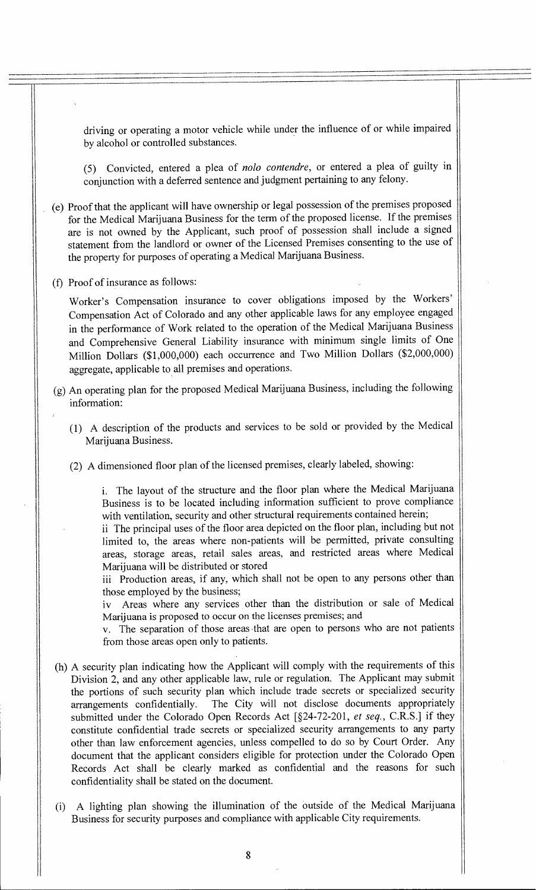driving or operating a motor vehicle while under the influence of or while impaired by alcohol or controlled substances.

(5) Convicted, entered a plea of *nob o contendre,* or entered a plea of guilty in conjunction with a deferred sentence and judgment pertaining to any felony.

- (e) Proof that the applicant will have ownership or legal possession of the premises proposed for the Medical Marijuana Business for the term of the proposed license. If the premises are is not owned by the Applicant, such proof of possession shall include a signed statement from the landlord or owner of the Licensed Premises consenting to the use of the property for purposes of operating a Medical Marijuana Business.
- (f) Proof of insurance as follows:

Worker's Compensation insurance to cover obligations imposed by the Workers' Compensation Act of Colorado and any other applicable laws for any employee engaged in the performance of Work related to the operation of the Medical Marijuana Business and Comprehensive General Liability insurance with minimum single limits of One Million Dollars (\$1,000,000) each occurrence and Two Million Dollars (\$2,000,000) aggregate, applicable to all premises and operations.

- (g) An operating plan for the proposed Medical Marijuana Business, including the following information:
	- (1) A description of the products and services to be sold or provided by the Medical Marijuana Business.
	- (2) A dimensioned floor plan of the licensed premises, clearly labeled, showing:

i. The layout of the structure and the floor plan where the Medical Marijuana Business is to be located including information sufficient to prove compliance with ventilation, security and other structural requirements contained herein;

ii The principal uses of the floor area depicted on the floor plan, including but not limited to, the areas where non-patients will be permitted, private consulting areas, storage areas, retail sales areas, and restricted areas where Medical Marijuana will be distributed or stored

iii Production areas, if any, which shall not be open to any persons other than those employed by the business;

iv Areas where any services other than the distribution or sale of Medical Marijuana is proposed to occur on the licenses premises; and

v. The separation of those areas -that are open to persons who are not patients from those areas open only to patients.

- (h) A security plan indicating how the Applicant will comply with the requirements of this Division 2, and any other applicable law, rule or regulation. The Applicant may submit the portions of such security plan which include trade secrets or specialized security arrangements confidentially. The City will not disclose documents appropriately submitted under the Colorado Open Records Act [§24-72-201, *et seq.,* C.R.S.] if they constitute confidential trade secrets or specialized security arrangements to any party other than law enforcement agencies, unless compelled to do so by Court Order. Any document that the applicant considers eligible for protection under the Colorado Open Records Act shall be clearly marked as confidential and the reasons for such confidentiality shall be stated on the document.
- (i) A lighting plan showing the illumination of the outside of the Medical Marijuana Business for security purposes and compliance with applicable City requirements.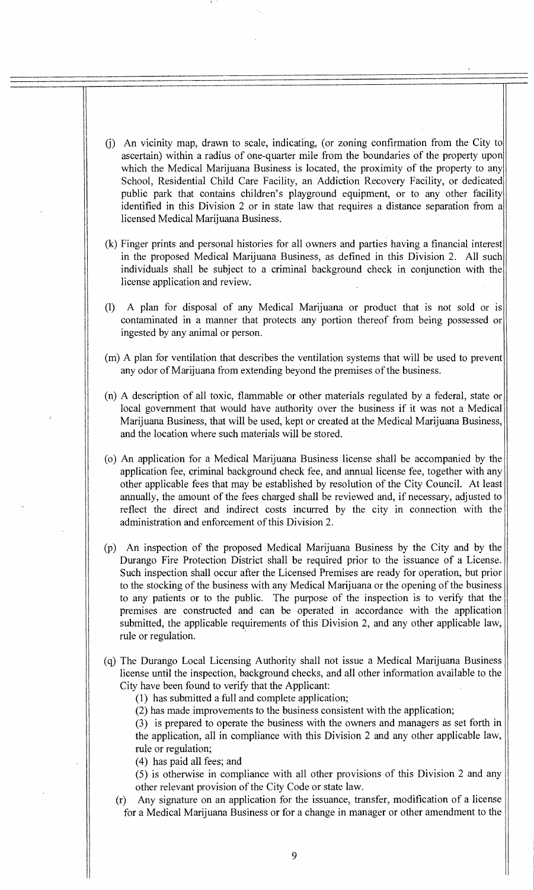- (j) An vicinity map, drawn to scale, indicating, (or zoning confirmation from the City to ascertain) within a radius of one-quarter mile from the boundaries of the property upon which the Medical Marijuana Business is located, the proximity of the property to any School, Residential Child Care Facility, an Addiction Recovery Facility, or dedicated public park that contains children's playground equipment, or to any other facility identified in this Division 2 or in state law that requires a distance separation from a licensed Medical Marijuana Business.
- (k) Finger prints and personal histories for all owners and parties having a financial interest in the proposed Medical Marijuana Business, as defined in this Division 2. All such individuals shall be subject to a criminal background check in conjunction with the license application and review.
- (1) A plan for disposal of any Medical Marijuana or product that is not sold or is contaminated in a manner that protects any portion thereof from being possessed or ingested by any animal or person.
- (m) A plan for ventilation that describes the ventilation systems that will be used to prevent any odor of Marijuana from extending beyond the premises of the business.
- (n) A description of all toxic, flammable or other materials regulated by a federal, state or local government that would have authority over the business if it was not a Medical Marijuana Business, that will be used, kept or created at the Medical Marijuana Business, and the location where such materials will be stored.
- (o) An application for a Medical Marijuana Business license shall be accompanied by the application fee, criminal background check fee, and annual license fee, together with any other applicable fees that may be established by resolution of the City Council. At least annually, the amount of the fees charged shall be reviewed and, if necessary, adjusted to reflect the direct and indirect costs incurred by the city in connection with the administration and enforcement of this Division 2.
- (p) An inspection of the proposed Medical Marijuana Business by the City and by the Durango Fire Protection District shall be required prior to the issuance of a License. Such inspection shall occur after the Licensed Premises are ready for operation, but prior to the stocking of the business with any Medical Marijuana or the opening of the business to any patients or to the public. The purpose of the inspection is to verify that the premises are constructed and can be operated in accordance with the application submitted, the applicable requirements of this Division 2, and any other applicable law, rule or regulation.
- (q) The Durango Local Licensing Authority shall not issue a Medical Marijuana Business license until the inspection, background checks, and all other information available to the City have been found to verify that the Applicant:
	- (1) has submitted a full and complete application;
	- (2) has made improvements to the business consistent with the application;

(3) is prepared to operate the business with the owners and managers as set forth in the application, all in compliance with this Division 2 and any other applicable law, rule or regulation;

(4) has paid all fees; and

- (5) is otherwise in compliance with all other provisions of this Division 2 and any other relevant provision of the City Code or state law.
- (r) Any signature on an application for the issuance, transfer, modification of a license for a Medical Marijuana Business or for a change in manager or other amendment to the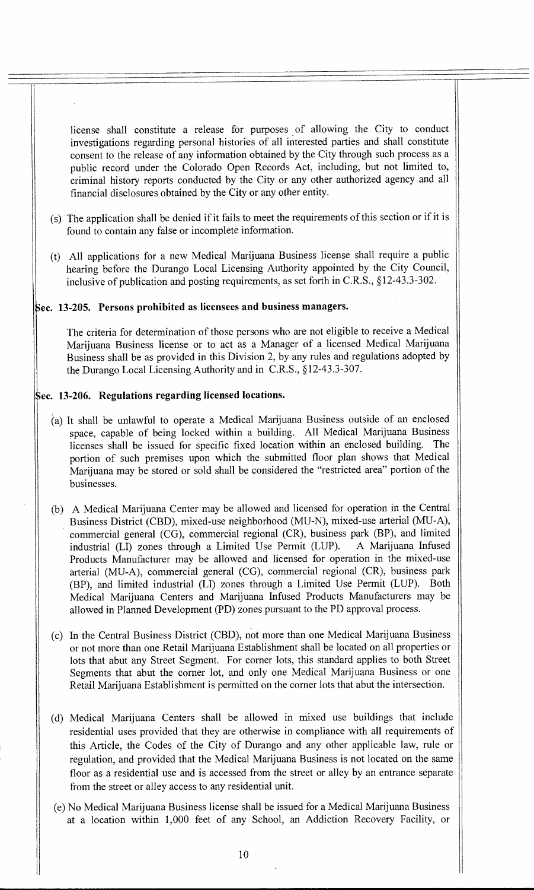license shall constitute a release for purposes of allowing the City to conduct investigations regarding personal histories of all interested parties and shall constitute consent to the release of any information obtained by the City through such process as a public record under the Colorado Open Records Act, including, but not limited to, criminal history reports conducted by the City or any other authorized agency and all financial disclosures obtained by the City or any other entity.

- (s) The application shall be denied if it fails to meet the requirements of this section or if it is found to contain any false or incomplete information.
- (t) All applications for a new Medical Marijuana Business license shall require a public hearing before the Durango Local Licensing Authority appointed by the City Council, inclusive of publication and posting requirements, as set forth in C.R.S., §12-43.3-302.

# **ec. 13-205. Persons prohibited as licensees and business managers.**

The criteria for determination of those persons who are not eligible to receive a Medical Marijuana Business license or to act as a Manager of a licensed Medical Marijuana Business shall be as provided in this Division 2, by any rules and regulations adopted by the Durango Local Licensing Authority and in C.R.S., §12-43.3-307.

## **cc. 13-206. Regulations regarding licensed locations.**

- (a) It shall be unlawful to operate a Medical Marijuana Business outside of an enclosed space, capable of being locked within a building. All Medical Marijuana Business licenses shall be issued for specific fixed location within an enclosed building. The portion of such premises upon which the submitted floor plan shows that Medical Marijuana may be stored or sold shall be considered the "restricted area" portion of the businesses.
- (b) A Medical Marijuana Center may be allowed and licensed for operation in the Central Business District (CBD), mixed-use neighborhood (MU-N), mixed-use arterial (MU-A), commercial general (CG), commercial regional (CR), business park (BP), and limited industrial (LI) zones through a Limited Use Permit (LUP). A Marijuana Infused Products Manufacturer may be allowed and licensed for operation in the mixed-use arterial (MU-A), commercial general (CG), commercial regional (CR), business park (BP), and limited industrial (LI) zones through a Limited Use Permit (LUP). Both Medical Marijuana Centers and Marijuana Infused Products Manufacturers may be allowed in Planned Development (PD) zones pursuant to the PD approval process.
- (c) In the Central Business District (CBD), not more than one Medical Marijuana Business or not more than one Retail Marijuana Establishment shall be located on all properties or lots that abut any Street Segment. For corner lots, this standard applies to both Street Segments that abut the corner lot, and only one Medical Marijuana Business or one Retail Marijuana Establishment is permitted on the corner lots that abut the intersection.
- (d) Medical Marijuana Centers shall be allowed in mixed use buildings that include residential uses provided that they are otherwise in compliance with all requirements of this Article, the Codes of the City of Durango and any other applicable law, rule or regulation, and provided that the Medical Marijuana Business is not located on the same floor as a residential use and is accessed from the street or alley by an entrance separate from the street or alley access to any residential unit.
- (e) No Medical Marijuana Business license shall be issued for a Medical Marijuana Business at a location within 1,000 feet of any School, an Addiction Recovery Facility, or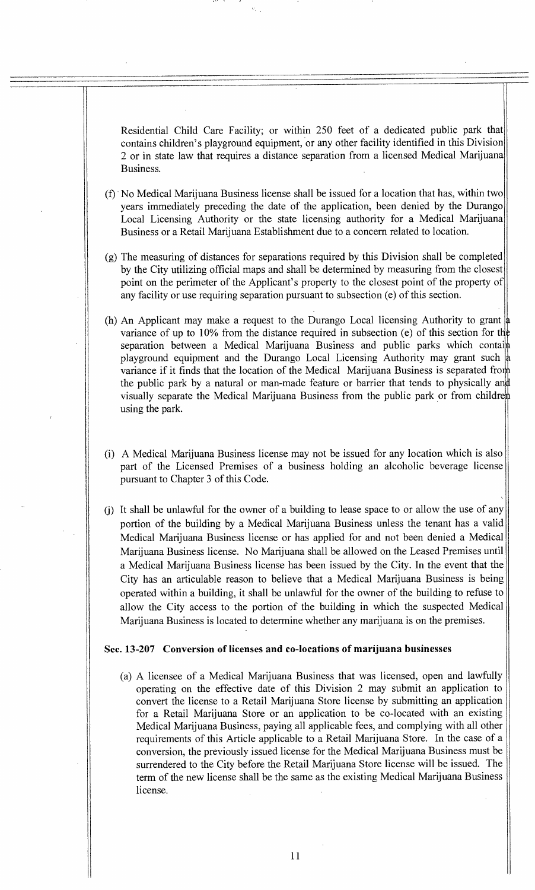Residential Child Care Facility; or within 250 feet of a dedicated public park that contains children's playground equipment, or any other facility identified in this Division 2 or in state law that requires a distance separation from a licensed Medical Marijuana Business.

- (f) No Medical Marijuana Business license shall be issued for a location that has, within two years immediately preceding the date of the application, been denied by the Durango Local Licensing Authority or the state licensing authority for a Medical Marijuana Business or a Retail Marijuana Establishment due to a concern related to location.
- (g) The measuring of distances for separations required by this Division shall be completed by the City utilizing official maps and shall be determined by measuring from the closest point on the perimeter of the Applicant's property to the closest point of the property of any facility or use requiring separation pursuant to subsection (e) of this section.
- (h) An Applicant may make a request to the Durango Local licensing Authority to grant variance of up to 10% from the distance required in subsection (e) of this section for the separation between a Medical Marijuana Business and public parks which contain playground equipment and the Durango Local Licensing Authority may grant such  $\frac{1}{4}$ variance if it finds that the location of the Medical Marijuana Business is separated fror the public park by a natural or man-made feature or barrier that tends to physically an visually separate the Medical Marijuana Business from the public park or from childre using the park.
- (i) A Medical Marijuana Business license may not be issued for any location which is also part of the Licensed Premises of a business holding an alcoholic beverage license pursuant to Chapter 3 of this Code.
- (j) It shall be unlawful for the owner of a building to lease space to or allow the use of any portion of the building by a Medical Marijuana Business unless the tenant has a valid Medical Marijuana Business license or has applied for and not been denied a Medical Marijuana Business license. No Marijuana shall be allowed on the Leased Premises until a Medical Marijuana Business license has been issued by the City. In the event that the City has an articulable reason to believe that a Medical Marijuana Business is being operated within a building, it shall be unlawful for the owner of the building to refuse to allow the City access to the portion of the building in which the suspected Medical Marijuana Business is located to determine whether any marijuana is on the premises.

### **Sec. 13-207 Conversion of licenses and co-locations of marijuana businesses**

(a) A licensee of a Medical Marijuana Business that was licensed, open and lawfully operating on the effective date of this Division 2 may submit an application to convert the license to a Retail Marijuana Store license by submitting an application for a Retail Marijuana Store or an application to be co-located with an existing Medical Marijuana Business, paying all applicable fees, and complying with all other requirements of this Article applicable to a Retail Marijuana Store. In the case of a conversion, the previously issued license for the Medical Marijuana Business must be surrendered to the City before the Retail Marijuana Store license will be issued. The term of the new license shall be the same as the existing Medical Marijuana Business license.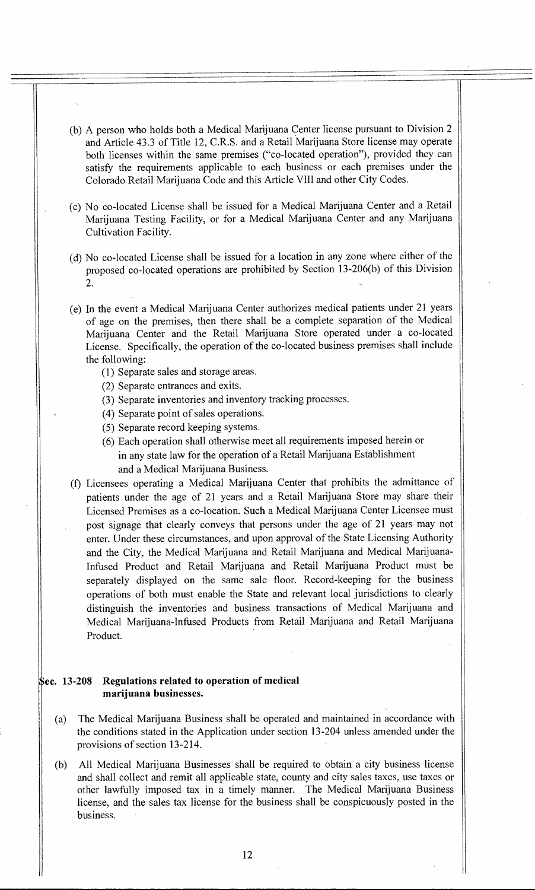- (b) A person who holds both a Medical Marijuana Center license pursuant to Division 2 and Article 43.3 of Title 12, C.R.S. and a Retail Marijuana Store license may operate both licenses within the same premises ("co-located operation"), provided they can satisfy the requirements applicable to each business or each premises under the Colorado Retail Marijuana Code and this Article VIII and other City Codes.
- (c) No co-located License shall be issued for a Medical Marijuana Center and a Retail Marijuana Testing Facility, or for a Medical Marijuana Center and any Marijuana Cultivation Facility.
- (d) No co-located License shall be issued for a location in any zone where either of the proposed co-located operations are prohibited by Section 13-206(b) of this Division 2.
- (e) In the event a Medical Marijuana Center authorizes medical patients under 21 years of age on the premises, then there shall be a complete separation of the Medical Marijuana Center and the Retail Marijuana Store operated under a co-located License. Specifically, the operation of the co-located business premises shall include the following:
	- (1) Separate sales and storage areas.
	- (2) Separate entrances and exits.
	- (3) Separate inventories and inventory tracking processes.
	- (4) Separate point of sales operations.
	- (5) Separate record keeping systems.
	- (6) Each operation shall otherwise meet all requirements imposed herein or in any state law for the operation of a Retail Marijuana Establishment and a Medical Marijuana Business.
- (f) Licensees operating a Medical Marijuana Center that prohibits the admittance of patients under the age of 21 years and a Retail Marijuana Store may share their Licensed Premises as a co-location. Such a Medical Marijuana Center Licensee must post signage that clearly conveys that persons under the age of 21 years may not enter. Under these circumstances, and upon approval of the State Licensing Authority and the City, the Medical Marijuana and Retail Marijuana and Medical Marijuana-Infused Product and Retail Marijuana and Retail Marijuana Product must be separately displayed on the same sale floor. Record-keeping for the business operations of both must enable the State and relevant local jurisdictions to clearly distinguish the inventories and business transactions of Medical Marijuana and Medical Marijuana-Infused Products from Retail Marijuana and Retail Marijuana Product.

## **ec. 13-208 Regulations related to operation of medical marijuana businesses.**

- (a) The Medical Marijuana Business shall be operated and maintained in accordance with the conditions stated in the Application under section 13-204 unless amended under the provisions of section 13-214.
- (b) All Medical Marijuana Businesses shall be required to obtain a city business license and shall collect and remit all applicable state, county and city sales taxes, use taxes or other lawfully imposed tax in a timely manner. The Medical Marijuana Business license, and the sales tax license for the business shall be conspicuously posted in the business.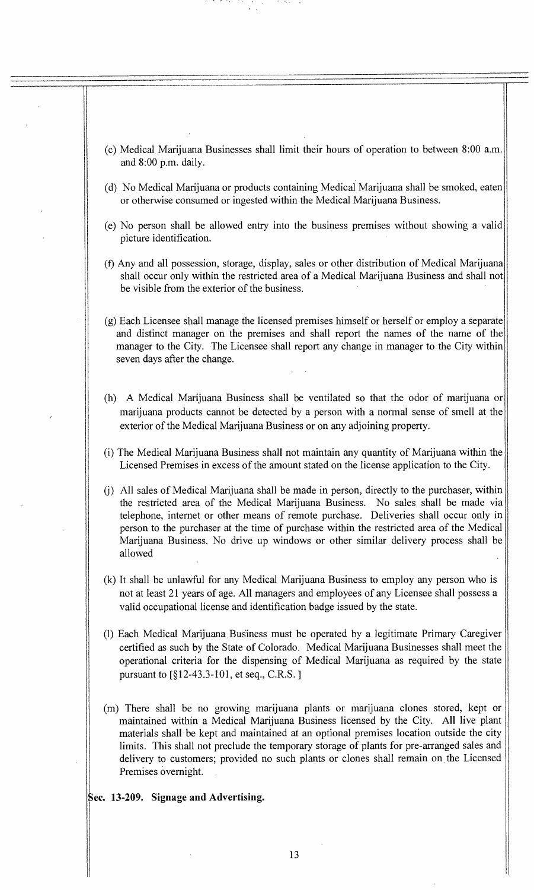(c) Medical Marijuana Businesses shall limit their hours of operation to between 8:00 a.m. and 8:00 p.m. daily. (d) No Medical Marijuana or products containing Medical Marijuana shall be smoked, eaten or otherwise consumed or ingested within the Medical Marijuana Business. (e) No person shall be allowed entry into the business premises without showing a valid picture identification. (f) Any and all possession, storage, display, sales or other distribution of Medical Marijuana shall occur only within the restricted area of a Medical Marijuana Business and shall not be visible from the exterior of the business. (g) Each Licensee shall manage the licensed premises himself or herself or employ a separate and distinct manager on the premises and shall report the names of the name of the manager to the City. The Licensee shall report any change in manager to the City within seven days after the change. (h) A Medical Marijuana Business shall be ventilated so that the odor of marijuana or marijuana products cannot be detected by a person with a normal sense of smell at the exterior of the Medical Marijuana Business or on any adjoining property. (i) The Medical Marijuana Business shall not maintain any quantity of Marijuana within the Licensed Premises in excess of the amount stated on the license application to the City. (j) All sales of Medical Marijuana shall be made in person, directly to the purchaser, within the restricted area of the Medical Marijuana Business. No sales shall be made via telephone, internet or other means of remote purchase. Deliveries shall occur only in person to the purchaser at the time of purchase within the restricted area of the Medical Marijuana Business. No drive up windows or other similar delivery process shall be allowed (k) It shall be unlawful for any Medical Marijuana Business to employ any person who is not at least 21 years of age. All managers and employees of any Licensee shall possess a valid occupational license and identification badge issued by the state. (1) Each Medical Marijuana Business must be operated by a legitimate Primary Caregiver certified as such by the State of Colorado. Medical Marijuana Businesses shall meet the operational criteria for the dispensing of Medical Marijuana as required by the state pursuant to  $\S 12-43.3-101$ , et seq., C.R.S. ] (m) There shall be no growing marijuana plants or marijuana clones stored, kept or maintained within a Medical Marijuana Business licensed by the City. All live plant materials shall be kept and maintained at an optional premises location outside the city limits. This shall not preclude the temporary storage of plants for pre-arranged sales and delivery to customers; provided no such plants or clones shall remain on the Licensed Premises overnight. **ec. 13-209. Signage and Advertising.**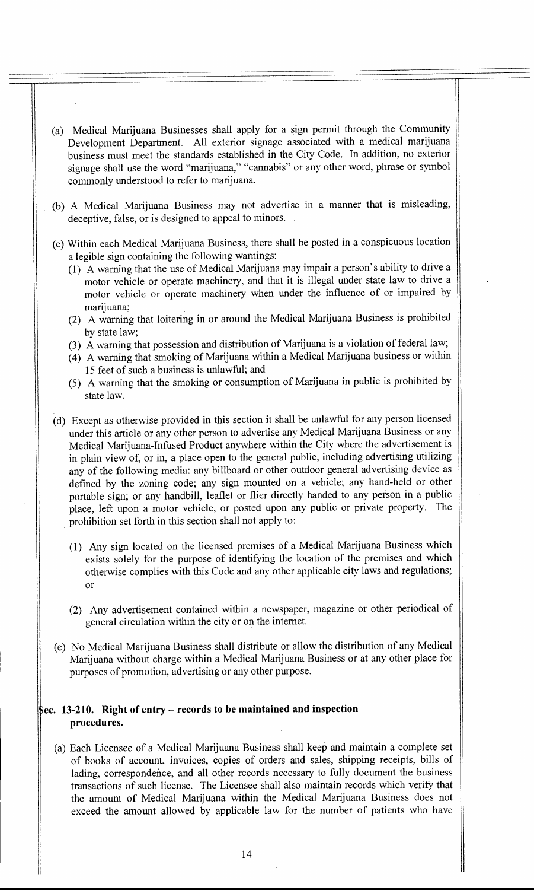- (a) Medical Marijuana Businesses shall apply for a sign permit through the Community Development Department. All exterior signage associated with a medical marijuana business must meet the standards established in the City Code. In addition, no exterior signage shall use the word "marijuana," "cannabis" or any other word, phrase or symbol commonly understood to refer to marijuana.
- (b) A Medical Marijuana Business may not advertise in a manner that is misleading, deceptive, false, or is designed to appeal to minors.
- (c) Within each Medical Marijuana Business, there shall be posted in a conspicuous location a legible sign containing the following warnings:
	- (1) A warning that the use of Medical Marijuana may impair a person's ability to drive a motor vehicle or operate machinery, and that it is illegal under state law to drive a motor vehicle or operate machinery when under the influence of or impaired by marijuana;
	- (2) A warning that loitering in or around the Medical Marijuana Business is prohibited by state law;
	- (3) A warning that possession and distribution of Marijuana is a violation of federal law;
	- (4) A warning that smoking of Marijuana within a Medical Marijuana business or within 15 feet of such a business is unlawful; and
	- (5) A warning that the smoking or consumption of Marijuana in public is prohibited by state law.
- (d) Except as otherwise provided in this section it shall be unlawful for any person licensed under this article or any other person to advertise any Medical Marijuana Business or any Medical Marijuana-Infused Product anywhere within the City where the advertisement is in plain view of, or in, a place open to the general public, including advertising utilizing any of the following media: any billboard or other outdoor general advertising device as defined by the zoning code; any sign mounted on a vehicle; any hand-held or other portable sign; or any handbill, leaflet or flier directly handed to any person in a public <sup>p</sup>lace, left upon a motor vehicle, or posted upon any public or private property. The prohibition set forth in this section shall not apply to:
	- (1) Any sign located on the licensed premises of a Medical Marijuana Business which exists solely for the purpose of identifying the location of the premises and which otherwise complies with this Code and any other applicable city laws and regulations; or
	- (2) Any advertisement contained within a newspaper, magazine or other periodical of general circulation within the city or on the internet.
- (e) No Medical Marijuana Business shall distribute or allow the distribution of any Medical Marijuana without charge within a Medical Marijuana Business or at any other place for purposes of promotion, advertising or any other purpose.

### **ec. 13-210. Right of entry — records to be maintained and inspection procedures.**

(a) Each Licensee of a Medical Marijuana Business shall keep and maintain a complete set of books of account, invoices, copies of orders and sales, shipping receipts, bills of lading, correspondence, and all other records necessary to fully document the business transactions of such license. The Licensee shall also maintain records which verify that the amount of Medical Marijuana within the Medical Marijuana Business does not exceed the amount allowed by applicable law for the number of patients who have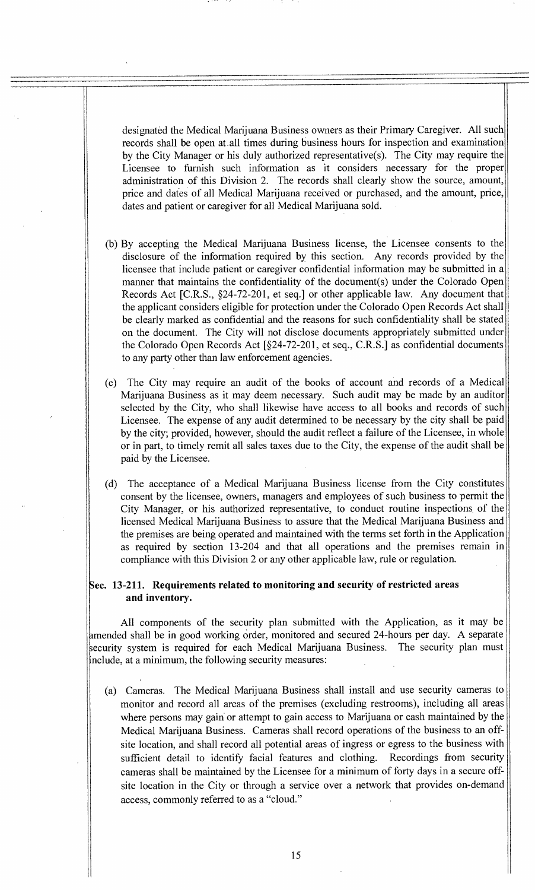designated the Medical Marijuana Business owners as their Primary Caregiver. All such records shall be open at all times during business hours for inspection and examination by the City Manager or his duly authorized representative(s). The City may require the Licensee to furnish such information as it considers necessary for the proper administration of this Division 2. The records shall clearly show the source, amount, price and dates of all Medical Marijuana received or purchased, and the amount, price, dates and patient or caregiver for all Medical Marijuana sold.

- (b) By accepting the Medical Marijuana Business license, the Licensee consents to the disclosure of the information required by this section. Any records provided by the licensee that include patient or caregiver confidential information may be submitted in a manner that maintains the confidentiality of the document(s) under the Colorado Open Records Act [C.R.S., §24-72-201, et seq.] or other applicable law. Any document that the applicant considers eligible for protection under the Colorado Open Records Act shall be clearly marked as confidential and the reasons for such confidentiality shall be stated on the document. The City will not disclose documents appropriately submitted under the Colorado Open Records Act [§24-72-201, et seq., C.R.S.] as confidential documents to any party other than law enforcement agencies.
- (c) The City may require an audit of the books of account and records of a Medical Marijuana Business as it may deem necessary. Such audit may be made by an auditor selected by the City, who shall likewise have access to all books and records of such Licensee. The expense of any audit determined to be necessary by the city shall be paid by the city; provided, however, should the audit reflect a failure of the Licensee, in whole or in part, to timely remit all sales taxes due to the City, the expense of the audit shall be paid by the Licensee.

(d) The acceptance of a Medical Marijuana Business license from the City constitutes consent by the licensee, owners, managers and employees of such business to permit the City Manager, or his authorized representative, to conduct routine inspections of the licensed Medical Marijuana Business to assure that the Medical Marijuana Business and the premises are being operated and maintained with the terms set forth in the Application as required by section 13-204 and that all operations and the premises remain in compliance with this Division 2 or any other applicable law, rule or regulation.

### **Sec. 13-211. Requirements related to monitoring and security of restricted areas and inventory.**

All components of the security plan submitted with the Application, as it may be amended shall be in good working order, monitored and secured 24-hours per day. A separate ecurity system is required for each Medical Marijuana Business. The security plan must nclude, at a minimum, the following security measures:

(a) Cameras. The Medical Marijuana Business shall install and use security cameras to monitor and record all areas of the premises (excluding restrooms), including all areas where persons may gain or attempt to gain access to Marijuana or cash maintained by the Medical Marijuana Business. Cameras shall record operations of the business to an offsite location, and shall record all potential areas of ingress or egress to the business with sufficient detail to identify facial features and clothing. Recordings from security cameras shall be maintained by the Licensee for a minimum of forty days in a secure offsite location in the City or through a service over a network that provides on-demand access, commonly referred to as a "cloud."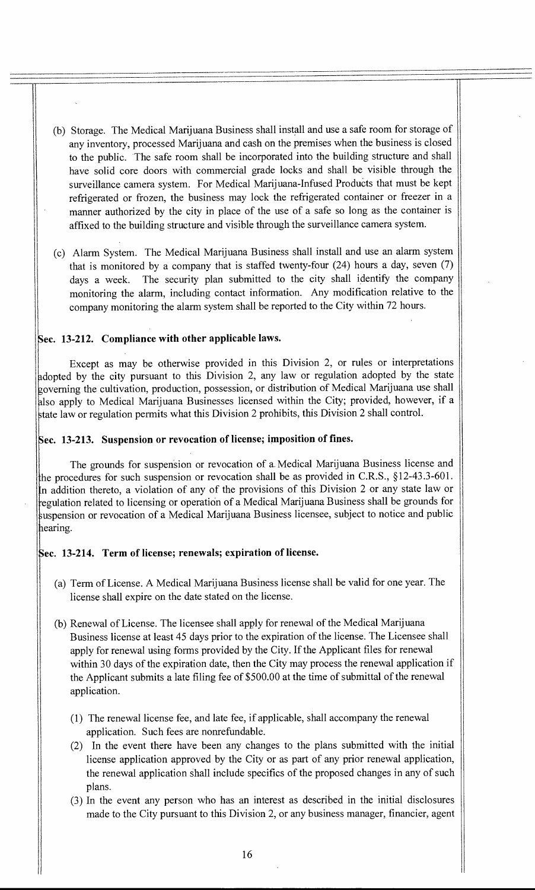- (b) Storage. The Medical Marijuana Business shall install and use a safe room for storage of any inventory, processed Marijuana and cash on the premises when the business is closed to the public. •The safe room shall be incorporated into the building structure and shall have solid core doors with commercial grade locks and shall be visible through the surveillance camera system. For Medical Marijuana-Infused Products that must be kept refrigerated or frozen, the business may lock the refrigerated container or freezer in a manner authorized by the city in place of the use of a safe so long as the container is affixed to the building structure and visible through the surveillance camera system.
- (c) Alarm System. The Medical Marijuana Business shall install and use an alarm system that is monitored by a company that is staffed twenty-four (24) hours a day, seven (7) days a week. The security plan submitted to the city shall identify the company monitoring the alarm, including contact information. Any modification relative to the company monitoring the alarm system shall be reported to the City within 72 hours.

### **ec. 13-212. Compliance with other applicable laws.**

Except as may be otherwise provided in this Division 2, or rules or interpretations adopted by the city pursuant to this Division 2, any law or regulation adopted by the state governing the cultivation, production, possession, or distribution of Medical Marijuana use shall 'also apply to Medical Marijuana Businesses licensed within the City; provided, however, if a tate law or regulation permits what this Division 2 prohibits, this Division 2 shall control.

### **ec. 13-213. Suspension or revocation of license; imposition of fines.**

The grounds for suspension or revocation of a. Medical Marijuana Business license and the procedures for such suspension or revocation shall be as provided in C.R.S., §12-43.3-601. n addition thereto, a violation of any of the provisions of this Division 2 or any state law or regulation related to licensing or operation of a Medical Marijuana Business shall be grounds for suspension or revocation of a Medical Marijuana Business licensee, subject to notice and public learing.

## **ec. 13-214. Term of license; renewals; expiration of license.**

- (a) Term of License. A Medical Marijuana Business license shall be valid for one year. The license shall expire on the date stated on the license.
- (b) Renewal of License. The licensee shall apply for renewal of the Medical Marijuana Business license at least 45 days prior to the expiration of the license. The Licensee shall apply for renewal using forms provided by the City. If the Applicant files for renewal within 30 days of the expiration date, then the City may process the renewal application if the Applicant submits a late filing fee of \$500.00 at the time of submittal of the renewal application.
	- (1) The renewal license fee, and late fee, if applicable, shall accompany the renewal application. Such fees are nonrefundable.
	- (2) In the event there have been any changes to the plans submitted with the initial license application approved by the City or as part of any prior renewal application, the renewal application shall include specifics of the proposed changes in any of such plans.
	- (3) In the event any person who has an interest as described in the initial disclosures made to the City pursuant to this Division 2, or any business manager, financier, agent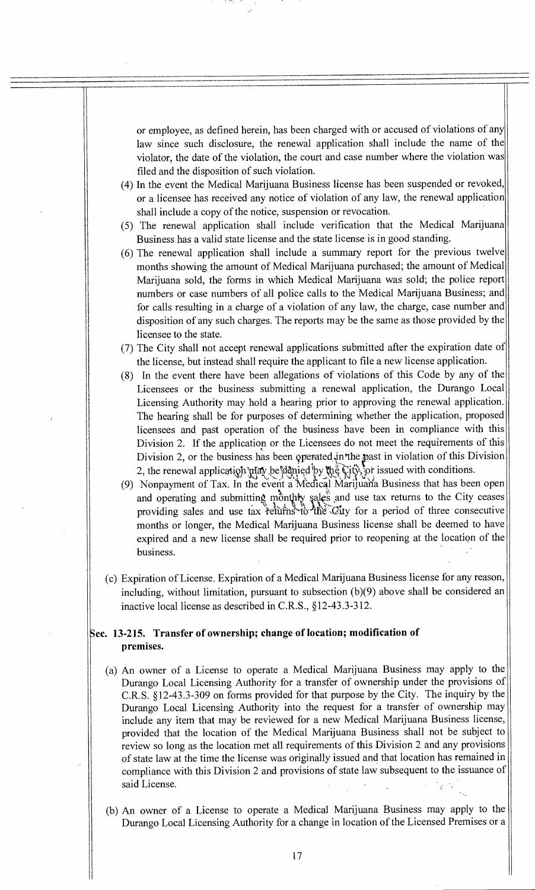or employee, as defined herein, has been charged with or accused of violations of any law since such disclosure, the renewal application shall include the name of the violator, the date of the violation, the court and case number where the violation was filed and the disposition of such violation.

- (4) In the event the Medical Marijuana Business license has been suspended or revoked, or a licensee has received any notice of violation of any law, the renewal application shall include a copy of the notice, suspension or revocation.
- (5) The renewal application shall include verification that the Medical Marijuana Business has a valid state license and the state license is in good standing.
- (6) The renewal application shall include a summary report for the previous twelve months showing the amount of Medical Marijuana purchased; the amount of Medical Marijuana sold, the forms in which Medical Marijuana was sold; the police report numbers or case numbers of all police calls to the Medical Marijuana Business; and for calls resulting in a charge of a violation of any law, the charge, case number and disposition of any such charges. The reports may be the same as those provided by the licensee to the state.
- (7) The City shall not accept renewal applications submitted after the expiration date of the license, but instead shall require the applicant to file a new license application.
- (8) In the event there have been allegations of violations of this Code by any of the Licensees or the business submitting a renewal application, the Durango Local Licensing Authority may hold a hearing prior to approving the renewal application. The hearing shall be for purposes of determining whether the application, proposed licensees and past operation of the business have been in compliance with this Division 2. If the application or the Licensees do not meet the requirements of this Division 2, or the business has been operated in the past in violation of this Division 2, the renewal application may be denied by the City, or issued with conditions.
- (9) Nonpayment of Tax. In the event a Medical Marijuaria Business that has been open and operating and submitting monthly sales and use tax returns to the City ceases providing sales and use tax returns to the City for a period of three consecutive months or longer, the Medical Marijuana Business license shall be deemed to have expired and a new license shall be required prior to reopening at the location of the business.
- (c) Expiration of License. Expiration of a Medical Marijuana Business license for any reason, including, without limitation, pursuant to subsection (b)(9) above shall be considered an inactive local license as described in C.R.S., §12-43.3-312.

## **Sec. 13-215. Transfer of ownership; change of location; modification of premises.**

- (a) An owner of a License to operate a Medical Marijuana Business may apply to the Durango Local Licensing Authority for a transfer of ownership under the provisions of C.R.S. §12-43.3-309 on forms provided for that purpose by the City. The inquiry by the Durango Local Licensing Authority into the request for a transfer of ownership may include any item that may be reviewed for a new Medical Marijuana Business license, provided that the location of the Medical Marijuana Business shall not be subject to review so long as the location met all requirements of this Division 2 and any provisions of state law at the time the license was originally issued and that location has remained in compliance with this Division 2 and provisions of state law subsequent to the issuance of said License.
- (b) An owner of a License to operate a Medical Marijuana Business may apply to the Durango Local Licensing Authority for a change in location of the Licensed Premises or a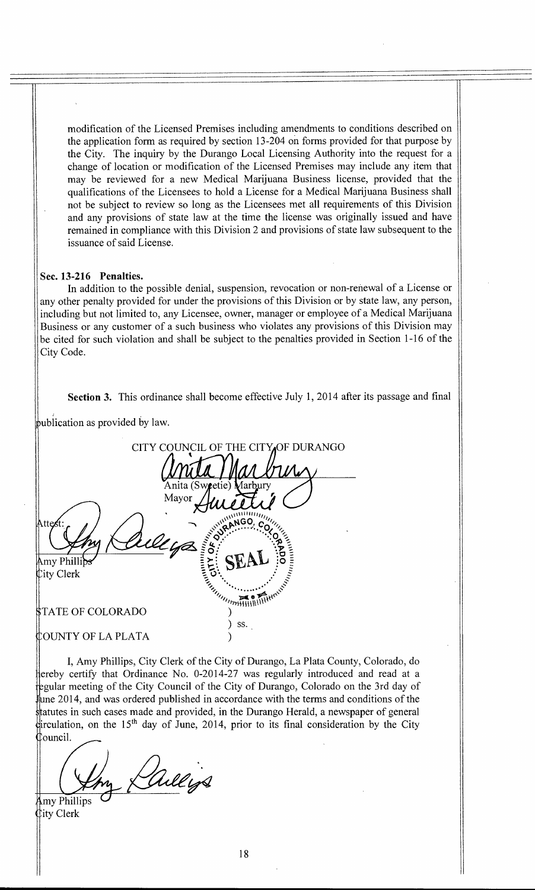modification of the Licensed Premises including amendments to conditions described on the application form as required by section 13-204 on forms provided for that purpose by the City. The inquiry by the Durango Local Licensing Authority into the request for a change of location or modification of the Licensed Premises may include any item that may be reviewed for a new Medical Marijuana Business license, provided that the qualifications of the Licensees to hold a License for a Medical Marijuana Business shall not be subject to review so long as the Licensees met all requirements of this Division and any provisions of state law at the time the license was originally issued and have remained in compliance with this Division 2 and provisions of state law subsequent to the issuance of said License.

#### Sec. 13-216 Penalties.

In addition to the possible denial, suspension, revocation or non-renewal of a License or any other penalty provided for under the provisions of this Division or by state law, any person, including but not limited to, any Licensee, owner, manager or employee of a Medical Marijuana Business or any customer of a such business who violates any provisions of this Division may be cited for such violation and shall be subject to the penalties provided in Section 1-16 of the City Code.

Section 3. This ordinance shall become effective July 1, 2014 after its passage and final

bublication as provided by law.

| CITY COUNCIL OF THE CITY OF DURANGO                                                                                                               |
|---------------------------------------------------------------------------------------------------------------------------------------------------|
| Anita (Sweetie) Marbury<br>Mayor                                                                                                                  |
| <b>ANGO</b><br>Attest<br>Wllya                                                                                                                    |
| Amy Phillibs<br><b>City Clerk</b>                                                                                                                 |
| <b>SURVEYOR AND INTERNATIONAL SECTION AND SECTION AND SECTION AND SECTION AND SECTION AND SECTION AND SECTION AND</b><br><b>STATE OF COLORADO</b> |
| SS.<br>Y OF LA PLATA                                                                                                                              |

I, Amy Phillips, City Clerk of the City of Durango, La Plata County, Colorado, do Hereby certify that Ordinance No. 0-2014-27 was regularly introduced and read at a Thgular meeting of the City Council of the City of Durango, Colorado on the 3rd day of  $\frac{1}{2014}$ , and was ordered published in accordance with the terms and conditions of the i i ouncil. ltatutes in such cases made and provided, in the Durango Herald, a newspaper of general firculation, on the 15<sup>th</sup> day of June, 2014, prior to its final consideration by the City

y Dullings my Phillips

ity Clerk